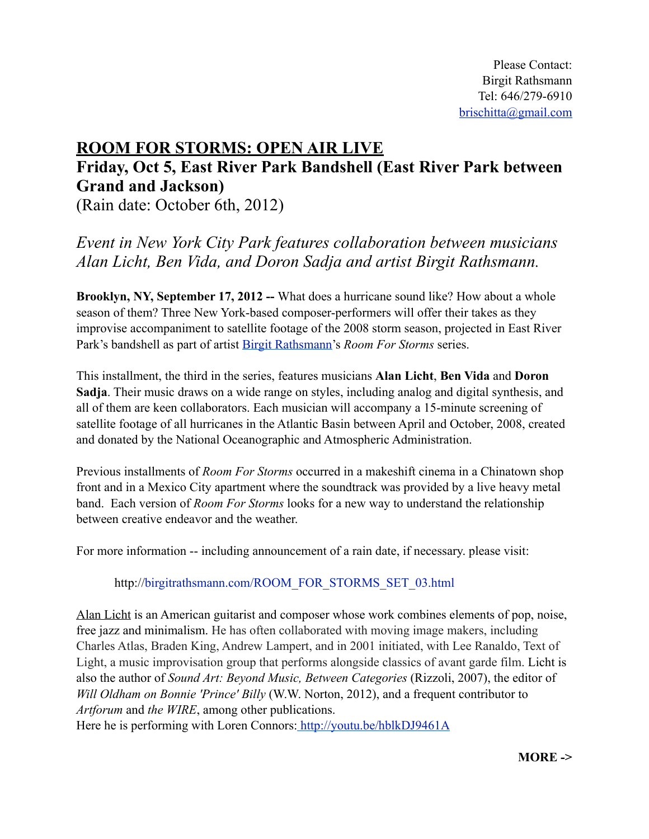## **ROOM FOR STORMS: OPEN AIR LIVE**

## **Friday, Oct 5, East River Park Bandshell (East River Park between Grand and Jackson)**

(Rain date: October 6th, 2012)

*Event in New York City Park features collaboration between musicians Alan Licht, Ben Vida, and Doron Sadja and artist Birgit Rathsmann.*

**Brooklyn, NY, September 17, 2012 --** What does a hurricane sound like? How about a whole season of them? Three New York-based composer-performers will offer their takes as they improvise accompaniment to satellite footage of the 2008 storm season, projected in East River Park's bandshell as part of artist [Birgit Rathsmann](http://www.google.com/url?q=http%3A%2F%2Fwww.birgitrathsmann.com%2F&sa=D&sntz=1&usg=AFQjCNGVAWql_euqFwKlsLOG8Dm-vfRqUg)'s *Room For Storms* series.

This installment, the third in the series, features musicians **Alan Licht**, **Ben Vida** and **Doron Sadja**. Their music draws on a wide range on styles, including analog and digital synthesis, and all of them are keen collaborators. Each musician will accompany a 15-minute screening of satellite footage of all hurricanes in the Atlantic Basin between April and October, 2008, created and donated by the National Oceanographic and Atmospheric Administration.

Previous installments of *Room For Storms* occurred in a makeshift cinema in a Chinatown shop front and in a Mexico City apartment where the soundtrack was provided by a live heavy metal band. Each version of *Room For Storms* looks for a new way to understand the relationship between creative endeavor and the weather.

For more information -- including announcement of a rain date, if necessary. please visit:

## http://[birgitrathsmann.com/ROOM\\_FOR\\_STORMS\\_SET\\_03.html](http://birgitrathsmann.com/ROOM_FOR_STORMS_SET_03.html)

Alan Licht is an American guitarist and composer whose work combines elements of pop, noise, free jazz and minimalism. He has often collaborated with moving image makers, including Charles Atlas, Braden King, Andrew Lampert, and in 2001 initiated, with Lee Ranaldo, Text of Light, a music improvisation group that performs alongside classics of avant garde film. Licht is also the author of *Sound Art: Beyond Music, Between Categories* (Rizzoli, 2007), the editor of *Will Oldham on Bonnie 'Prince' Billy* (W.W. Norton, 2012), and a frequent contributor to *Artforum* and *the WIRE*, among other publications.

Here he is performing with Loren Connors:<http://youtu.be/hblkDJ9461A>